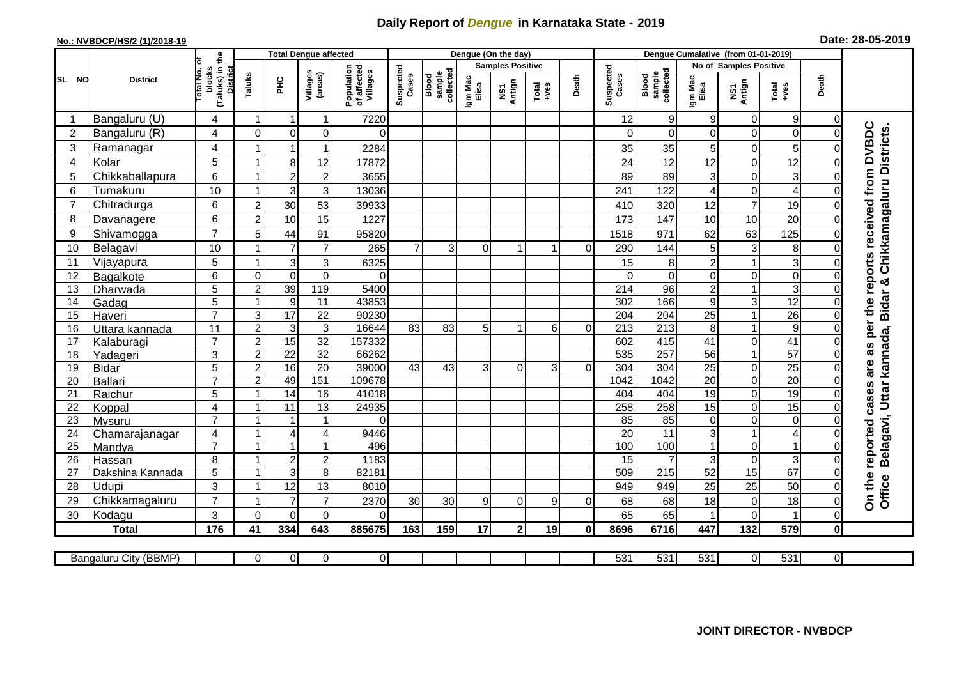## **Daily Report of** *Dengue* **in Karnataka State - 2019**

## **No.: NVBDCP/HS/2 (1)/2018-19 Date: 28-05-2019**

|                | <b>District</b>        |                                                             | <b>Total Dengue affected</b> |                         |                      |                                       |                    |                              |                         | Dengue (On the day) |                  |              |                    |                              |                  |                        |                    |                                  |                                                                     |
|----------------|------------------------|-------------------------------------------------------------|------------------------------|-------------------------|----------------------|---------------------------------------|--------------------|------------------------------|-------------------------|---------------------|------------------|--------------|--------------------|------------------------------|------------------|------------------------|--------------------|----------------------------------|---------------------------------------------------------------------|
|                |                        |                                                             |                              | Taluks<br>ΞÉ            |                      | Population<br>of affected<br>Villages | Suspected<br>Cases |                              | <b>Samples Positive</b> |                     |                  |              |                    |                              |                  | No of Samples Positive |                    |                                  |                                                                     |
| SL NO          |                        | (Taluks) in the<br>otal No. of<br>blocks<br><b>District</b> |                              |                         | Villages<br>(areas)  |                                       |                    | sample<br>collected<br>Blood | Igm Mac<br>Elisa        | NS1<br>Antign       | $Tota$<br>$+ves$ | Death        | Suspected<br>Cases | sample<br>collected<br>Blood | Igm Mac<br>Elisa | NS1<br>Antign          | Total<br>+ves      | Death                            |                                                                     |
|                | Bangaluru (U)          | 4                                                           | $\mathbf 1$                  | $\overline{\mathbf{1}}$ | 1                    | 7220                                  |                    |                              |                         |                     |                  |              | 12                 | 9                            | 9                | $\mathbf 0$            | 9                  | $\overline{0}$                   |                                                                     |
| $\overline{2}$ | Bangaluru (R)          | 4                                                           | $\mathbf{0}$                 | $\mathbf 0$             | $\mathbf 0$          | $\Omega$                              |                    |                              |                         |                     |                  |              |                    | $\Omega$                     | 0                | $\mathbf 0$            | $\mathbf 0$        | $\Omega$                         |                                                                     |
| 3              | Ramanagar              | 4                                                           |                              | $\overline{1}$          | 1                    | 2284                                  |                    |                              |                         |                     |                  |              | 35                 | 35                           | 5                | $\mathbf 0$            | 5                  | 0                                | as per the reports received from DVBDC<br>Chikkamagaluru Districts. |
| $\overline{4}$ | Kolar                  | 5                                                           |                              | 8                       | 12                   | 17872                                 |                    |                              |                         |                     |                  |              | 24                 | 12                           | 12               | $\mathbf 0$            | $\overline{12}$    | $\overline{0}$                   |                                                                     |
| 5              | Chikkaballapura        | 6                                                           |                              | $\overline{c}$          | $\overline{c}$       | 3655                                  |                    |                              |                         |                     |                  |              | 89                 | 89                           | 3                | $\mathbf 0$            | 3                  | 0                                |                                                                     |
| 6              | Tumakuru               | 10                                                          |                              | 3                       | 3                    | 13036                                 |                    |                              |                         |                     |                  |              | 241                | 122                          | 4                | $\mathbf 0$            | $\overline{4}$     | $\Omega$                         |                                                                     |
| $\overline{7}$ | Chitradurga            | 6                                                           | $\overline{c}$               | 30                      | 53                   | 39933                                 |                    |                              |                         |                     |                  |              | 410                | 320                          | 12               | $\overline{7}$         | 19                 | 0                                |                                                                     |
| 8              | Davanagere             | $6\phantom{1}$                                              | $\overline{2}$               | 10                      | 15                   | 1227                                  |                    |                              |                         |                     |                  |              | 173                | 147                          | 10               | 10                     | 20                 | $\Omega$                         |                                                                     |
| 9              | Shivamogga             | $\overline{7}$                                              | 5                            | 44                      | 91                   | 95820                                 |                    |                              |                         |                     |                  |              | 1518               | 971                          | 62               | 63                     | 125                | 0                                |                                                                     |
| 10             | Belagavi               | 10                                                          |                              | $\overline{7}$          | $\overline{7}$       | 265                                   | $\overline{7}$     | 3                            | $\Omega$                | 1                   |                  | $\Omega$     | 290                | 144                          | 5                | $\mathbf{3}$           | 8                  | 0                                |                                                                     |
| 11             | Vijayapura             | 5                                                           |                              | 3                       | 3                    | 6325                                  |                    |                              |                         |                     |                  |              | 15                 | 8                            | $\overline{c}$   | $\mathbf{1}$           | $\mathbf{3}$       | 0                                |                                                                     |
| 12             | Bagalkote              | 6                                                           | $\Omega$                     | $\mathbf 0$             | $\mathbf 0$          | $\Omega$                              |                    |                              |                         |                     |                  |              | $\Omega$           | $\mathbf 0$                  | 0                | $\mathbf 0$            | $\overline{0}$     | $\Omega$                         |                                                                     |
| 13             | Dharwada               | $\overline{5}$                                              | $\overline{2}$               | 39                      | 119                  | 5400                                  |                    |                              |                         |                     |                  |              | $\overline{214}$   | 96                           | $\overline{2}$   | $\mathbf{1}$           | $\overline{3}$     | $\Omega$                         | kannada, Bidar &                                                    |
| 14             | Gadag                  | $\overline{5}$                                              |                              | 9                       | 11                   | 43853                                 |                    |                              |                         |                     |                  |              | 302                | 166                          | 9                | $\mathbf{3}$           | 12                 | $\Omega$                         |                                                                     |
| 15             | Haveri                 | $\overline{7}$                                              | 3                            | $\overline{17}$         | $\overline{22}$      | 90230                                 |                    |                              |                         |                     |                  |              | 204                | $\overline{204}$             | $\overline{25}$  | $\mathbf{1}$           | $\overline{26}$    | $\Omega$                         |                                                                     |
| 16             | Uttara kannada         | 11                                                          | $\boldsymbol{2}$             | 3                       | $\mathsf 3$          | 16644                                 | 83                 | 83                           | 5                       |                     | 6                | $\Omega$     | 213                | $\overline{213}$             | 8                | $\mathbf{1}$           | $\boldsymbol{9}$   | 0                                |                                                                     |
| 17             | Kalaburagi             | $\overline{7}$                                              | $\overline{2}$               | $\overline{15}$         | 32                   | 157332                                |                    |                              |                         |                     |                  |              | 602                | 415                          | 41               | $\mathbf 0$            | $\overline{41}$    | 0                                |                                                                     |
| 18             | Yadageri               | 3                                                           | $\overline{2}$               | $\overline{22}$         | 32                   | 66262                                 |                    |                              |                         |                     |                  |              | 535                | 257                          | 56               | $\mathbf{1}$           | $\overline{57}$    | 0                                |                                                                     |
| 19             | Bidar                  | 5                                                           | $\overline{2}$               | 16                      | $\overline{20}$      | 39000                                 | 43                 | 43                           | 3                       | $\Omega$            | 3                | $\Omega$     | 304                | 304                          | $\overline{25}$  | $\mathbf 0$            | $\overline{25}$    | 0                                | are                                                                 |
| 20             | Ballari                | $\overline{7}$                                              | $\overline{c}$               | 49                      | 151                  | 109678                                |                    |                              |                         |                     |                  |              | 1042               | $\frac{1042}{2}$             | $\overline{20}$  | $\overline{0}$         | 20                 | $\Omega$                         |                                                                     |
| 21             | Raichur                | 5                                                           |                              | 14                      | 16                   | 41018                                 |                    |                              |                         |                     |                  |              | 404                | 404                          | 19               | $\pmb{0}$              | 19                 | 0                                |                                                                     |
| 22             | Koppal                 | 4                                                           |                              | 11                      | 13                   | 24935                                 |                    |                              |                         |                     |                  |              | 258                | 258                          | $\overline{15}$  | $\overline{0}$         | 15                 | $\Omega$                         |                                                                     |
| 23             | Mysuru                 | $\overline{7}$                                              |                              |                         | 1                    | 0                                     |                    |                              |                         |                     |                  |              | 85                 | 85                           | 0                | $\mathbf 0$            | $\mathbf 0$        | 0                                |                                                                     |
| 24             | Chamarajanagar         | 4                                                           |                              | $\overline{4}$          | $\overline{4}$       | 9446                                  |                    |                              |                         |                     |                  |              | 20                 | $\overline{11}$              | 3                | $\mathbf{1}$           | $\overline{4}$     | 0                                |                                                                     |
| 25             | Mandya                 | $\overline{7}$                                              |                              | $\overline{\mathbf{1}}$ | 1                    | 496                                   |                    |                              |                         |                     |                  |              | 100                | 100                          | $\mathbf{1}$     | $\boldsymbol{0}$       | $\mathbf{1}$       | 0                                | Belagavi, Uttar<br>reported cases                                   |
| 26             | Hassan                 | 8                                                           |                              | $\overline{c}$          | $\mathbf 2$          | 1183<br>82181                         |                    |                              |                         |                     |                  |              | 15                 |                              | 3                | $\mathbf 0$<br>15      | $\mathbf{3}$<br>67 | $\Omega$<br>$\Omega$             |                                                                     |
| 27             | Dakshina Kannada       | $\overline{5}$                                              |                              | 3                       | 8                    |                                       |                    |                              |                         |                     |                  |              | 509                | 215                          | 52               |                        |                    |                                  |                                                                     |
| 28             | <b>Udupi</b>           | 3<br>$\overline{7}$                                         |                              | 12<br>$\overline{7}$    | 13<br>$\overline{7}$ | 8010                                  |                    |                              |                         |                     | 9                | $\Omega$     | 949                | 949                          | 25               | 25                     | 50                 | 0                                | On the<br>Office                                                    |
| 29<br>30       | Chikkamagaluru         | 3                                                           | $\Omega$                     | $\Omega$                | $\Omega$             | 2370<br>0                             | 30                 | 30                           | 9                       | $\Omega$            |                  |              | 68<br>65           | 68<br>65                     | 18               | 0<br>$\overline{0}$    | 18                 | $\overline{0}$<br>$\overline{0}$ |                                                                     |
|                | Kodagu<br><b>Total</b> | $\frac{1}{176}$                                             | 41                           | 334                     | 643                  | 885675                                | 163                |                              | 17                      | 2 <sup>1</sup>      | 19               | $\mathbf{0}$ | 8696               |                              |                  | 132                    | 579                | $\mathbf{0}$                     |                                                                     |
|                |                        |                                                             |                              |                         |                      |                                       |                    | 159                          |                         |                     |                  |              |                    | 6716                         | 447              |                        |                    |                                  |                                                                     |
|                | Bangaluru City (BBMP)  |                                                             | $\overline{0}$               | $\overline{0}$          | $\overline{0}$       | $\overline{0}$                        |                    |                              |                         |                     |                  |              | 531                | 531                          | 531              | $\overline{0}$         | 531                | $\overline{\Omega}$              |                                                                     |